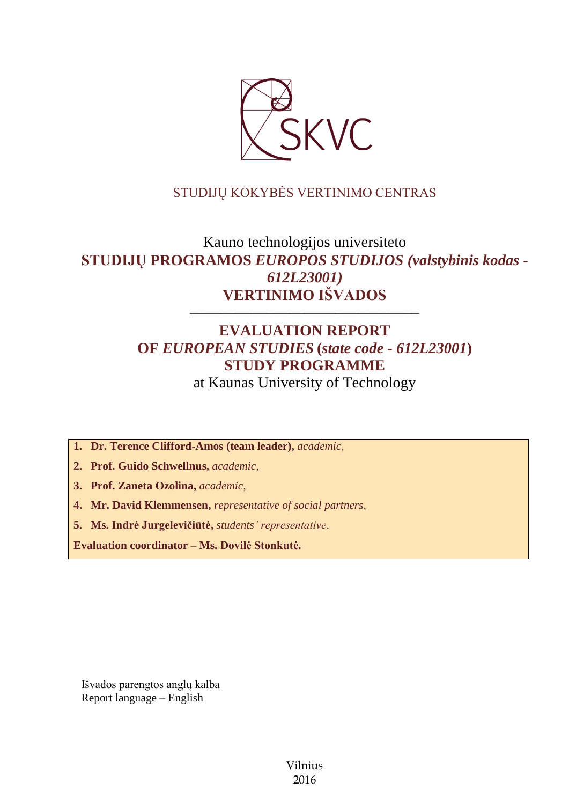

# STUDIJŲ KOKYBĖS VERTINIMO CENTRAS

# Kauno technologijos universiteto **STUDIJŲ PROGRAMOS** *EUROPOS STUDIJOS (valstybinis kodas - 612L23001)* **VERTINIMO IŠVADOS**

# **EVALUATION REPORT OF** *EUROPEAN STUDIES* **(***state code - 612L23001***) STUDY PROGRAMME**

––––––––––––––––––––––––––––––

at Kaunas University of Technology

**1. Dr. Terence Clifford-Amos (team leader),** *academic,*

**2. Prof. Guido Schwellnus,** *academic,*

**3. Prof. Zaneta Ozolina,** *academic,*

**4. Mr. David Klemmensen,** *representative of social partners,*

**5. Ms. Indrė Jurgelevičiūtė,** *students' representative*.

**Evaluation coordinator – Ms. Dovilė Stonkutė.**

Išvados parengtos anglų kalba Report language – English

> Vilnius 2016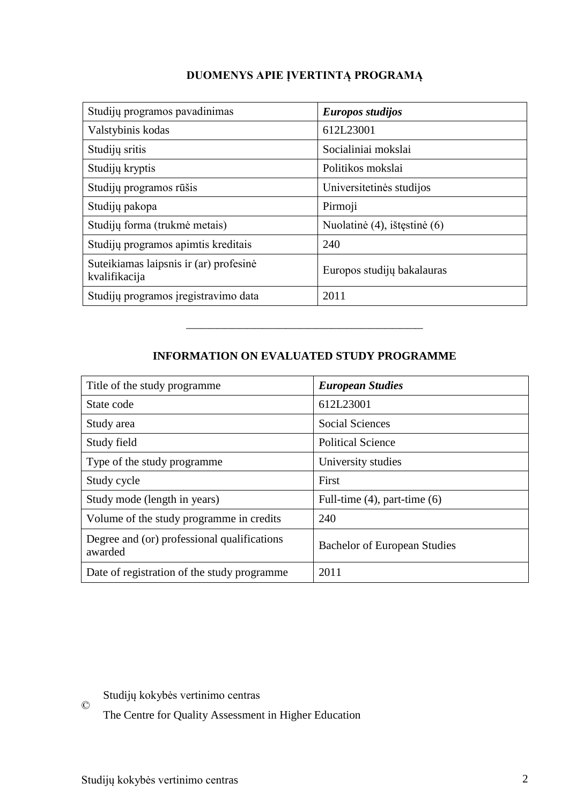# **DUOMENYS APIE ĮVERTINTĄ PROGRAMĄ**

| Studijų programos pavadinimas                           | Europos studijos             |
|---------------------------------------------------------|------------------------------|
| Valstybinis kodas                                       | 612L23001                    |
| Studijų sritis                                          | Socialiniai mokslai          |
| Studijų kryptis                                         | Politikos mokslai            |
| Studijų programos rūšis                                 | Universitetinės studijos     |
| Studijų pakopa                                          | Pirmoji                      |
| Studijų forma (trukmė metais)                           | Nuolatinė (4), ištęstinė (6) |
| Studijų programos apimtis kreditais                     | 240                          |
| Suteikiamas laipsnis ir (ar) profesinė<br>kvalifikacija | Europos studijų bakalauras   |
| Studijų programos įregistravimo data                    | 2011                         |

## **INFORMATION ON EVALUATED STUDY PROGRAMME**

–––––––––––––––––––––––––––––––

| Title of the study programme.                          | <b>European Studies</b>             |
|--------------------------------------------------------|-------------------------------------|
| State code                                             | 612L23001                           |
| Study area                                             | <b>Social Sciences</b>              |
| Study field                                            | <b>Political Science</b>            |
| Type of the study programme                            | University studies                  |
| Study cycle                                            | First                               |
| Study mode (length in years)                           | Full-time $(4)$ , part-time $(6)$   |
| Volume of the study programme in credits               | 240                                 |
| Degree and (or) professional qualifications<br>awarded | <b>Bachelor of European Studies</b> |
| Date of registration of the study programme            | 2011                                |

© Studijų kokybės vertinimo centras

The Centre for Quality Assessment in Higher Education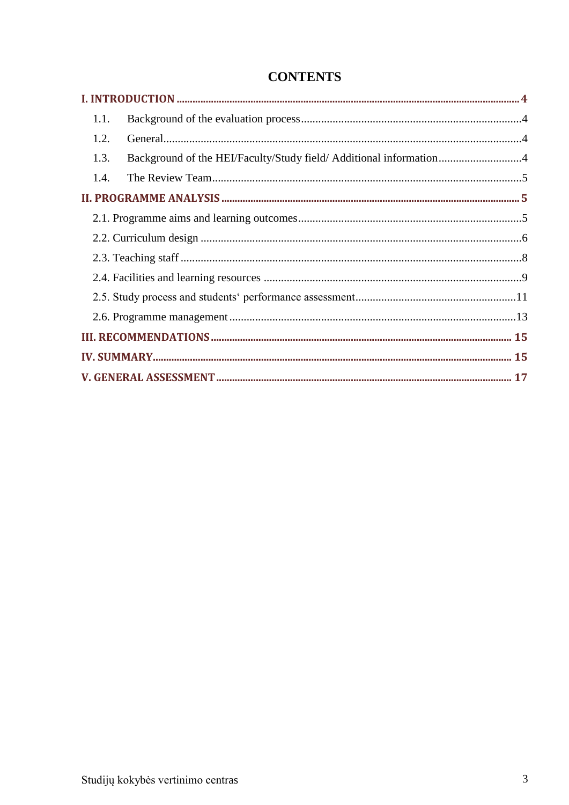| 1.1. |                                                                    |  |
|------|--------------------------------------------------------------------|--|
| 1.2. |                                                                    |  |
| 1.3. | Background of the HEI/Faculty/Study field/ Additional information4 |  |
| 1.4. |                                                                    |  |
|      |                                                                    |  |
|      |                                                                    |  |
|      |                                                                    |  |
|      |                                                                    |  |
|      |                                                                    |  |
|      |                                                                    |  |
|      |                                                                    |  |
|      |                                                                    |  |
|      |                                                                    |  |
|      |                                                                    |  |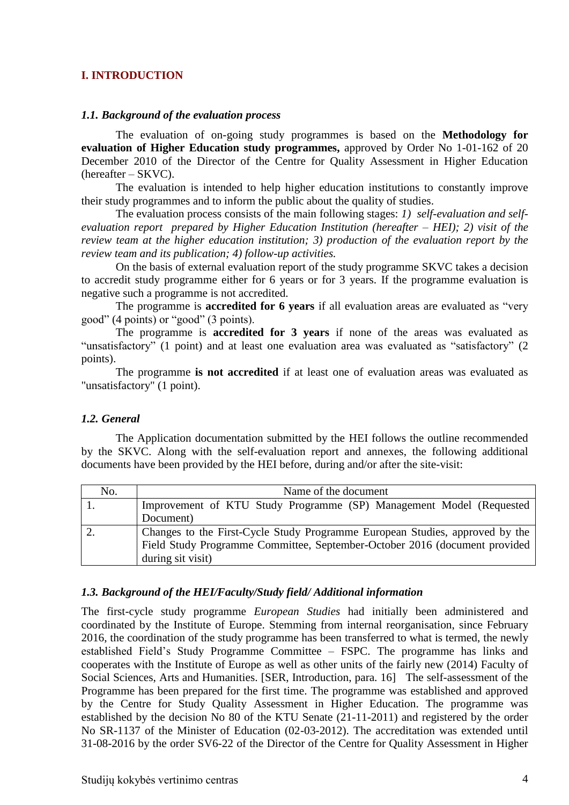#### <span id="page-3-0"></span>**I. INTRODUCTION**

#### <span id="page-3-1"></span>*1.1. Background of the evaluation process*

The evaluation of on-going study programmes is based on the **Methodology for evaluation of Higher Education study programmes,** approved by Order No 1-01-162 of 20 December 2010 of the Director of the Centre for Quality Assessment in Higher Education (hereafter – SKVC).

The evaluation is intended to help higher education institutions to constantly improve their study programmes and to inform the public about the quality of studies.

The evaluation process consists of the main following stages: *1) self-evaluation and selfevaluation report prepared by Higher Education Institution (hereafter – HEI); 2) visit of the review team at the higher education institution; 3) production of the evaluation report by the review team and its publication; 4) follow-up activities.* 

On the basis of external evaluation report of the study programme SKVC takes a decision to accredit study programme either for 6 years or for 3 years. If the programme evaluation is negative such a programme is not accredited.

The programme is **accredited for 6 years** if all evaluation areas are evaluated as "very good" (4 points) or "good" (3 points).

The programme is **accredited for 3 years** if none of the areas was evaluated as "unsatisfactory" (1 point) and at least one evaluation area was evaluated as "satisfactory" (2 points).

The programme **is not accredited** if at least one of evaluation areas was evaluated as "unsatisfactory" (1 point).

#### <span id="page-3-2"></span>*1.2. General*

The Application documentation submitted by the HEI follows the outline recommended by the SKVC. Along with the self-evaluation report and annexes, the following additional documents have been provided by the HEI before, during and/or after the site-visit:

| No. | Name of the document                                                         |
|-----|------------------------------------------------------------------------------|
|     | Improvement of KTU Study Programme (SP) Management Model (Requested          |
|     | Document)                                                                    |
|     | Changes to the First-Cycle Study Programme European Studies, approved by the |
|     | Field Study Programme Committee, September-October 2016 (document provided   |
|     | during sit visit)                                                            |

#### <span id="page-3-3"></span>*1.3. Background of the HEI/Faculty/Study field/ Additional information*

The first-cycle study programme *European Studies* had initially been administered and coordinated by the Institute of Europe. Stemming from internal reorganisation, since February 2016, the coordination of the study programme has been transferred to what is termed, the newly established Field's Study Programme Committee – FSPC. The programme has links and cooperates with the Institute of Europe as well as other units of the fairly new (2014) Faculty of Social Sciences, Arts and Humanities. [SER, Introduction, para. 16] The self-assessment of the Programme has been prepared for the first time. The programme was established and approved by the Centre for Study Quality Assessment in Higher Education. The programme was established by the decision No 80 of the KTU Senate (21-11-2011) and registered by the order No SR-1137 of the Minister of Education (02-03-2012). The accreditation was extended until 31-08-2016 by the order SV6-22 of the Director of the Centre for Quality Assessment in Higher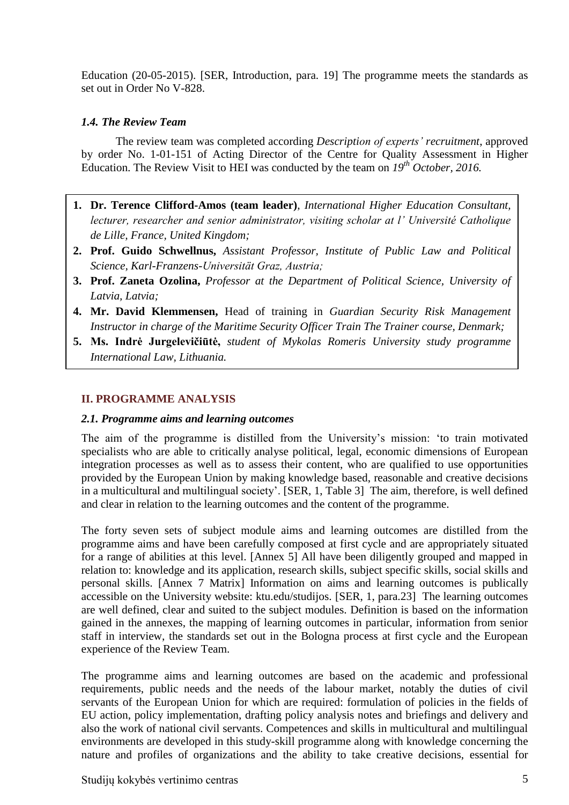Education (20-05-2015). [SER, Introduction, para. 19] The programme meets the standards as set out in Order No V-828.

## <span id="page-4-0"></span>*1.4. The Review Team*

The review team was completed according *Description of experts' recruitment*, approved by order No. 1-01-151 of Acting Director of the Centre for Quality Assessment in Higher Education. The Review Visit to HEI was conducted by the team on *19 th October, 2016.*

- **1. Dr. Terence Clifford-Amos (team leader)**, *International Higher Education Consultant, lecturer, researcher and senior administrator, visiting scholar at l' Université Catholique de Lille, France, United Kingdom;*
- **2. Prof. Guido Schwellnus,** *Assistant Professor, Institute of Public Law and Political Science, Karl-Franzens-Universität Graz, Austria;*
- **3. Prof. Zaneta Ozolina,** *Professor at the Department of Political Science, University of Latvia, Latvia;*
- <span id="page-4-1"></span>**4. Mr. David Klemmensen,** Head of training in *Guardian Security Risk Management Instructor in charge of the Maritime Security Officer Train The Trainer course, Denmark;*
- **5. Ms. Indrė Jurgelevičiūtė,** *student of Mykolas Romeris University study programme International Law, Lithuania.*

## **II. PROGRAMME ANALYSIS**

#### <span id="page-4-2"></span>*2.1. Programme aims and learning outcomes*

The aim of the programme is distilled from the University's mission: 'to train motivated specialists who are able to critically analyse political, legal, economic dimensions of European integration processes as well as to assess their content, who are qualified to use opportunities provided by the European Union by making knowledge based, reasonable and creative decisions in a multicultural and multilingual society'. [SER, 1, Table 3] The aim, therefore, is well defined and clear in relation to the learning outcomes and the content of the programme.

The forty seven sets of subject module aims and learning outcomes are distilled from the programme aims and have been carefully composed at first cycle and are appropriately situated for a range of abilities at this level. [Annex 5] All have been diligently grouped and mapped in relation to: knowledge and its application, research skills, subject specific skills, social skills and personal skills. [Annex 7 Matrix] Information on aims and learning outcomes is publically accessible on the University website: ktu.edu/studijos. [SER, 1, para.23] The learning outcomes are well defined, clear and suited to the subject modules. Definition is based on the information gained in the annexes, the mapping of learning outcomes in particular, information from senior staff in interview, the standards set out in the Bologna process at first cycle and the European experience of the Review Team.

The programme aims and learning outcomes are based on the academic and professional requirements, public needs and the needs of the labour market, notably the duties of civil servants of the European Union for which are required: formulation of policies in the fields of EU action, policy implementation, drafting policy analysis notes and briefings and delivery and also the work of national civil servants. Competences and skills in multicultural and multilingual environments are developed in this study-skill programme along with knowledge concerning the nature and profiles of organizations and the ability to take creative decisions, essential for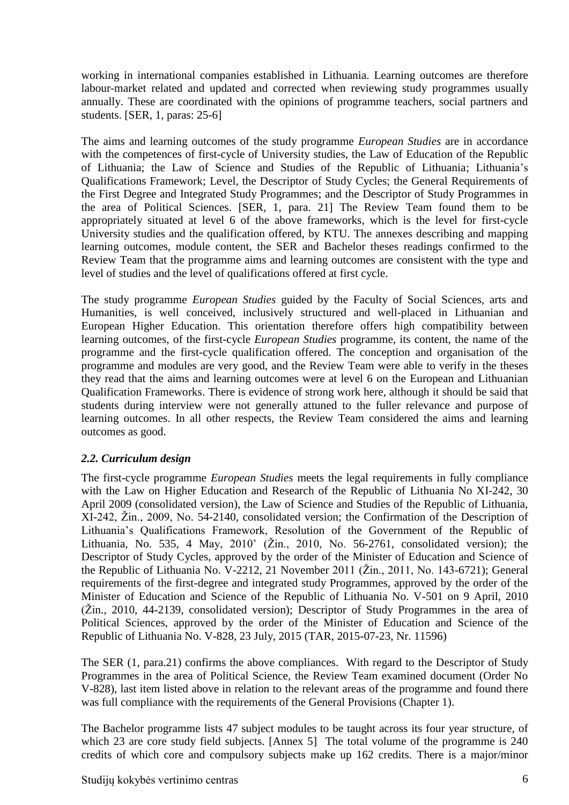working in international companies established in Lithuania. Learning outcomes are therefore labour-market related and updated and corrected when reviewing study programmes usually annually. These are coordinated with the opinions of programme teachers, social partners and students. [SER, 1, paras: 25-6]

The aims and learning outcomes of the study programme *European Studies* are in accordance with the competences of first-cycle of University studies, the Law of Education of the Republic of Lithuania; the Law of Science and Studies of the Republic of Lithuania; Lithuania's Qualifications Framework; Level, the Descriptor of Study Cycles; the General Requirements of the First Degree and Integrated Study Programmes; and the Descriptor of Study Programmes in the area of Political Sciences. [SER, 1, para. 21] The Review Team found them to be appropriately situated at level 6 of the above frameworks, which is the level for first-cycle University studies and the qualification offered, by KTU. The annexes describing and mapping learning outcomes, module content, the SER and Bachelor theses readings confirmed to the Review Team that the programme aims and learning outcomes are consistent with the type and level of studies and the level of qualifications offered at first cycle.

The study programme *European Studies* guided by the Faculty of Social Sciences, arts and Humanities, is well conceived, inclusively structured and well-placed in Lithuanian and European Higher Education. This orientation therefore offers high compatibility between learning outcomes, of the first-cycle *European Studies* programme, its content, the name of the programme and the first-cycle qualification offered. The conception and organisation of the programme and modules are very good, and the Review Team were able to verify in the theses they read that the aims and learning outcomes were at level 6 on the European and Lithuanian Qualification Frameworks. There is evidence of strong work here, although it should be said that students during interview were not generally attuned to the fuller relevance and purpose of learning outcomes. In all other respects, the Review Team considered the aims and learning outcomes as good.

## <span id="page-5-0"></span>*2.2. Curriculum design*

The first-cycle programme *European Studies* meets the legal requirements in fully compliance with the Law on Higher Education and Research of the Republic of Lithuania No XI-242, 30 April 2009 (consolidated version), the Law of Science and Studies of the Republic of Lithuania, XI-242, Žin., 2009, No. 54-2140, consolidated version; the Confirmation of the Description of Lithuania's Qualifications Framework, Resolution of the Government of the Republic of Lithuania, No. 535, 4 May, 2010' (Žin., 2010, No. 56-2761, consolidated version); the Descriptor of Study Cycles, approved by the order of the Minister of Education and Science of the Republic of Lithuania No. V-2212, 21 November 2011 (Žin., 2011, No. 143-6721); General requirements of the first-degree and integrated study Programmes, approved by the order of the Minister of Education and Science of the Republic of Lithuania No. V-501 on 9 April, 2010 (Žin., 2010, 44-2139, consolidated version); Descriptor of Study Programmes in the area of Political Sciences, approved by the order of the Minister of Education and Science of the Republic of Lithuania No. V-828, 23 July, 2015 (TAR, 2015-07-23, Nr. 11596)

The SER (1, para.21) confirms the above compliances. With regard to the Descriptor of Study Programmes in the area of Political Science, the Review Team examined document (Order No V-828), last item listed above in relation to the relevant areas of the programme and found there was full compliance with the requirements of the General Provisions (Chapter 1).

The Bachelor programme lists 47 subject modules to be taught across its four year structure, of which 23 are core study field subjects. [Annex 5] The total volume of the programme is 240 credits of which core and compulsory subjects make up 162 credits. There is a major/minor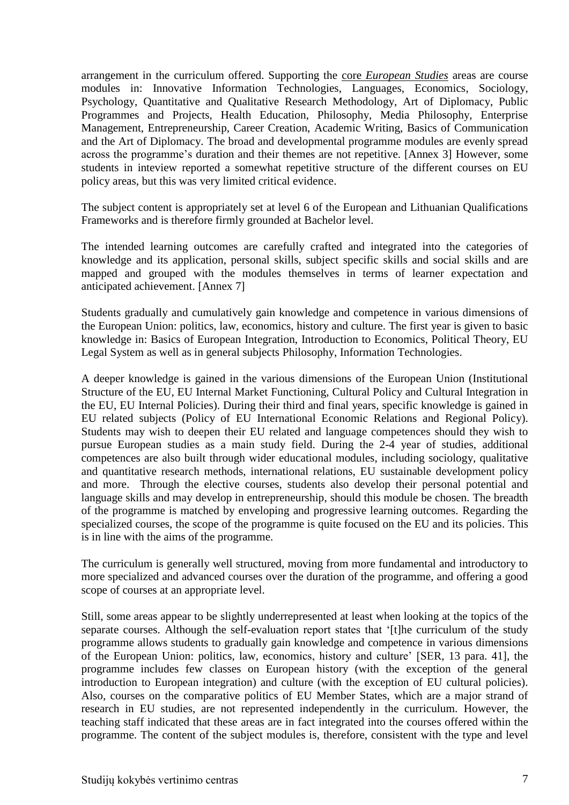arrangement in the curriculum offered. Supporting the core *European Studies* areas are course modules in: Innovative Information Technologies, Languages, Economics, Sociology, Psychology, Quantitative and Qualitative Research Methodology, Art of Diplomacy, Public Programmes and Projects, Health Education, Philosophy, Media Philosophy, Enterprise Management, Entrepreneurship, Career Creation, Academic Writing, Basics of Communication and the Art of Diplomacy. The broad and developmental programme modules are evenly spread across the programme's duration and their themes are not repetitive. [Annex 3] However, some students in inteview reported a somewhat repetitive structure of the different courses on EU policy areas, but this was very limited critical evidence.

The subject content is appropriately set at level 6 of the European and Lithuanian Qualifications Frameworks and is therefore firmly grounded at Bachelor level.

The intended learning outcomes are carefully crafted and integrated into the categories of knowledge and its application, personal skills, subject specific skills and social skills and are mapped and grouped with the modules themselves in terms of learner expectation and anticipated achievement. [Annex 7]

Students gradually and cumulatively gain knowledge and competence in various dimensions of the European Union: politics, law, economics, history and culture. The first year is given to basic knowledge in: Basics of European Integration, Introduction to Economics, Political Theory, EU Legal System as well as in general subjects Philosophy, Information Technologies.

A deeper knowledge is gained in the various dimensions of the European Union (Institutional Structure of the EU, EU Internal Market Functioning, Cultural Policy and Cultural Integration in the EU, EU Internal Policies). During their third and final years, specific knowledge is gained in EU related subjects (Policy of EU International Economic Relations and Regional Policy). Students may wish to deepen their EU related and language competences should they wish to pursue European studies as a main study field. During the 2-4 year of studies, additional competences are also built through wider educational modules, including sociology, qualitative and quantitative research methods, international relations, EU sustainable development policy and more. Through the elective courses, students also develop their personal potential and language skills and may develop in entrepreneurship, should this module be chosen. The breadth of the programme is matched by enveloping and progressive learning outcomes. Regarding the specialized courses, the scope of the programme is quite focused on the EU and its policies. This is in line with the aims of the programme.

The curriculum is generally well structured, moving from more fundamental and introductory to more specialized and advanced courses over the duration of the programme, and offering a good scope of courses at an appropriate level.

Still, some areas appear to be slightly underrepresented at least when looking at the topics of the separate courses. Although the self-evaluation report states that '[t]he curriculum of the study programme allows students to gradually gain knowledge and competence in various dimensions of the European Union: politics, law, economics, history and culture' [SER, 13 para. 41], the programme includes few classes on European history (with the exception of the general introduction to European integration) and culture (with the exception of EU cultural policies). Also, courses on the comparative politics of EU Member States, which are a major strand of research in EU studies, are not represented independently in the curriculum. However, the teaching staff indicated that these areas are in fact integrated into the courses offered within the programme. The content of the subject modules is, therefore, consistent with the type and level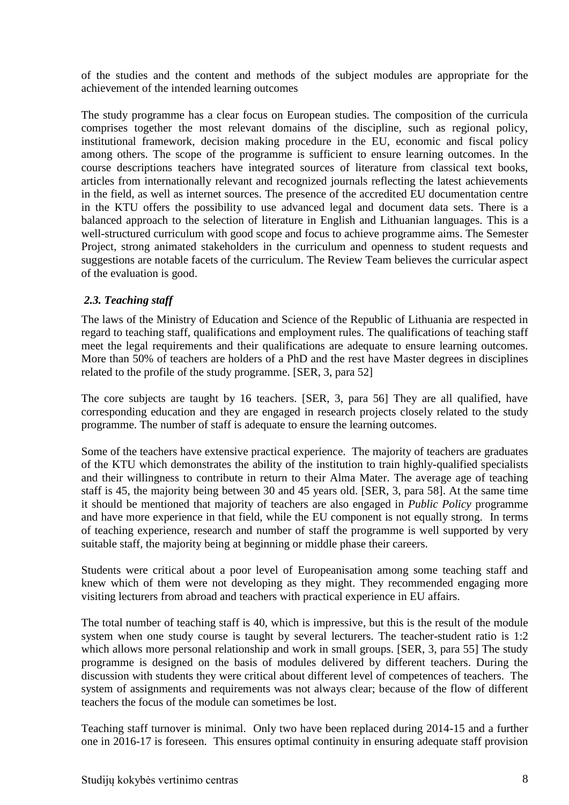of the studies and the content and methods of the subject modules are appropriate for the achievement of the intended learning outcomes

The study programme has a clear focus on European studies. The composition of the curricula comprises together the most relevant domains of the discipline, such as regional policy, institutional framework, decision making procedure in the EU, economic and fiscal policy among others. The scope of the programme is sufficient to ensure learning outcomes. In the course descriptions teachers have integrated sources of literature from classical text books, articles from internationally relevant and recognized journals reflecting the latest achievements in the field, as well as internet sources. The presence of the accredited EU documentation centre in the KTU offers the possibility to use advanced legal and document data sets. There is a balanced approach to the selection of literature in English and Lithuanian languages. This is a well-structured curriculum with good scope and focus to achieve programme aims. The Semester Project, strong animated stakeholders in the curriculum and openness to student requests and suggestions are notable facets of the curriculum. The Review Team believes the curricular aspect of the evaluation is good.

## <span id="page-7-0"></span>*2.3. Teaching staff*

The laws of the Ministry of Education and Science of the Republic of Lithuania are respected in regard to teaching staff, qualifications and employment rules. The qualifications of teaching staff meet the legal requirements and their qualifications are adequate to ensure learning outcomes. More than 50% of teachers are holders of a PhD and the rest have Master degrees in disciplines related to the profile of the study programme. [SER, 3, para 52]

The core subjects are taught by 16 teachers. [SER, 3, para 56] They are all qualified, have corresponding education and they are engaged in research projects closely related to the study programme. The number of staff is adequate to ensure the learning outcomes.

Some of the teachers have extensive practical experience. The majority of teachers are graduates of the KTU which demonstrates the ability of the institution to train highly-qualified specialists and their willingness to contribute in return to their Alma Mater. The average age of teaching staff is 45, the majority being between 30 and 45 years old. [SER, 3, para 58]. At the same time it should be mentioned that majority of teachers are also engaged in *Public Policy* programme and have more experience in that field, while the EU component is not equally strong. In terms of teaching experience, research and number of staff the programme is well supported by very suitable staff, the majority being at beginning or middle phase their careers.

Students were critical about a poor level of Europeanisation among some teaching staff and knew which of them were not developing as they might. They recommended engaging more visiting lecturers from abroad and teachers with practical experience in EU affairs.

The total number of teaching staff is 40, which is impressive, but this is the result of the module system when one study course is taught by several lecturers. The teacher-student ratio is 1:2 which allows more personal relationship and work in small groups. [SER, 3, para 55] The study programme is designed on the basis of modules delivered by different teachers. During the discussion with students they were critical about different level of competences of teachers. The system of assignments and requirements was not always clear; because of the flow of different teachers the focus of the module can sometimes be lost.

Teaching staff turnover is minimal. Only two have been replaced during 2014-15 and a further one in 2016-17 is foreseen. This ensures optimal continuity in ensuring adequate staff provision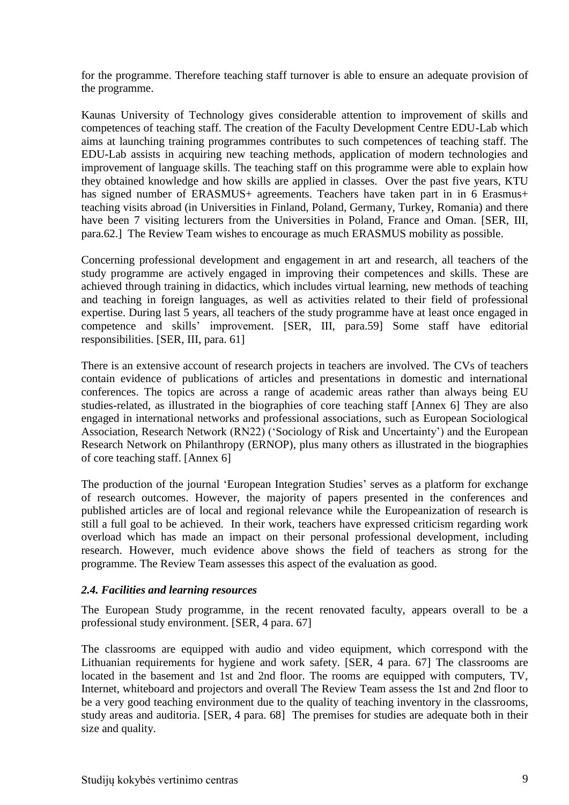for the programme. Therefore teaching staff turnover is able to ensure an adequate provision of the programme.

Kaunas University of Technology gives considerable attention to improvement of skills and competences of teaching staff. The creation of the Faculty Development Centre EDU-Lab which aims at launching training programmes contributes to such competences of teaching staff. The EDU-Lab assists in acquiring new teaching methods, application of modern technologies and improvement of language skills. The teaching staff on this programme were able to explain how they obtained knowledge and how skills are applied in classes. Over the past five years, KTU has signed number of ERASMUS+ agreements. Teachers have taken part in in 6 Erasmus+ teaching visits abroad (in Universities in Finland, Poland, Germany, Turkey, Romania) and there have been 7 visiting lecturers from the Universities in Poland, France and Oman. [SER, III, para.62.] The Review Team wishes to encourage as much ERASMUS mobility as possible.

Concerning professional development and engagement in art and research, all teachers of the study programme are actively engaged in improving their competences and skills. These are achieved through training in didactics, which includes virtual learning, new methods of teaching and teaching in foreign languages, as well as activities related to their field of professional expertise. During last 5 years, all teachers of the study programme have at least once engaged in competence and skills' improvement. [SER, III, para.59] Some staff have editorial responsibilities. [SER, III, para. 61]

There is an extensive account of research projects in teachers are involved. The CVs of teachers contain evidence of publications of articles and presentations in domestic and international conferences. The topics are across a range of academic areas rather than always being EU studies-related, as illustrated in the biographies of core teaching staff [Annex 6] They are also engaged in international networks and professional associations, such as European Sociological Association, Research Network (RN22) ('Sociology of Risk and Uncertainty') and the European Research Network on Philanthropy (ERNOP), plus many others as illustrated in the biographies of core teaching staff. [Annex 6]

The production of the journal 'European Integration Studies' serves as a platform for exchange of research outcomes. However, the majority of papers presented in the conferences and published articles are of local and regional relevance while the Europeanization of research is still a full goal to be achieved. In their work, teachers have expressed criticism regarding work overload which has made an impact on their personal professional development, including research. However, much evidence above shows the field of teachers as strong for the programme. The Review Team assesses this aspect of the evaluation as good.

## <span id="page-8-0"></span>*2.4. Facilities and learning resources*

The European Study programme, in the recent renovated faculty, appears overall to be a professional study environment. [SER, 4 para. 67]

The classrooms are equipped with audio and video equipment, which correspond with the Lithuanian requirements for hygiene and work safety. [SER, 4 para. 67] The classrooms are located in the basement and 1st and 2nd floor. The rooms are equipped with computers, TV, Internet, whiteboard and projectors and overall The Review Team assess the 1st and 2nd floor to be a very good teaching environment due to the quality of teaching inventory in the classrooms, study areas and auditoria. [SER, 4 para. 68] The premises for studies are adequate both in their size and quality.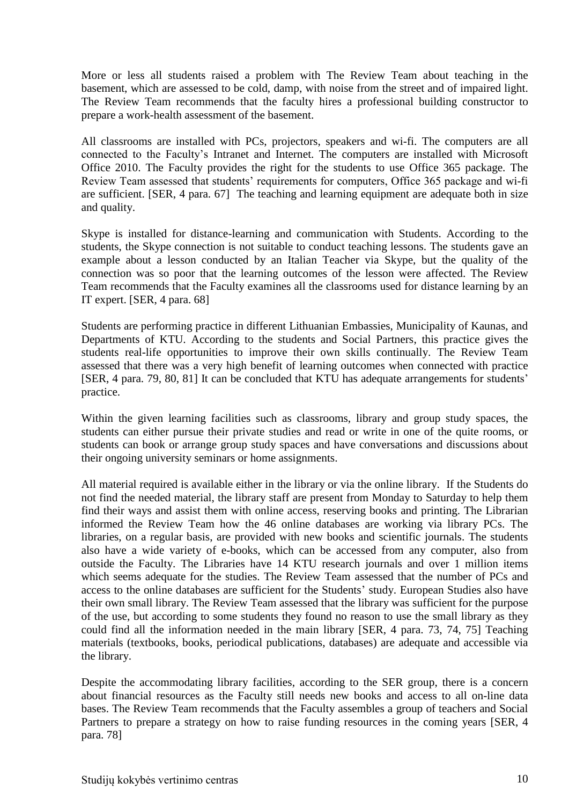More or less all students raised a problem with The Review Team about teaching in the basement, which are assessed to be cold, damp, with noise from the street and of impaired light. The Review Team recommends that the faculty hires a professional building constructor to prepare a work-health assessment of the basement.

All classrooms are installed with PCs, projectors, speakers and wi-fi. The computers are all connected to the Faculty's Intranet and Internet. The computers are installed with Microsoft Office 2010. The Faculty provides the right for the students to use Office 365 package. The Review Team assessed that students' requirements for computers, Office 365 package and wi-fi are sufficient. [SER, 4 para. 67] The teaching and learning equipment are adequate both in size and quality.

Skype is installed for distance-learning and communication with Students. According to the students, the Skype connection is not suitable to conduct teaching lessons. The students gave an example about a lesson conducted by an Italian Teacher via Skype, but the quality of the connection was so poor that the learning outcomes of the lesson were affected. The Review Team recommends that the Faculty examines all the classrooms used for distance learning by an IT expert. [SER, 4 para. 68]

Students are performing practice in different Lithuanian Embassies, Municipality of Kaunas, and Departments of KTU. According to the students and Social Partners, this practice gives the students real-life opportunities to improve their own skills continually. The Review Team assessed that there was a very high benefit of learning outcomes when connected with practice [SER, 4 para. 79, 80, 81] It can be concluded that KTU has adequate arrangements for students' practice.

Within the given learning facilities such as classrooms, library and group study spaces, the students can either pursue their private studies and read or write in one of the quite rooms, or students can book or arrange group study spaces and have conversations and discussions about their ongoing university seminars or home assignments.

All material required is available either in the library or via the online library. If the Students do not find the needed material, the library staff are present from Monday to Saturday to help them find their ways and assist them with online access, reserving books and printing. The Librarian informed the Review Team how the 46 online databases are working via library PCs. The libraries, on a regular basis, are provided with new books and scientific journals. The students also have a wide variety of e-books, which can be accessed from any computer, also from outside the Faculty. The Libraries have 14 KTU research journals and over 1 million items which seems adequate for the studies. The Review Team assessed that the number of PCs and access to the online databases are sufficient for the Students' study. European Studies also have their own small library. The Review Team assessed that the library was sufficient for the purpose of the use, but according to some students they found no reason to use the small library as they could find all the information needed in the main library [SER, 4 para. 73, 74, 75] Teaching materials (textbooks, books, periodical publications, databases) are adequate and accessible via the library.

Despite the accommodating library facilities, according to the SER group, there is a concern about financial resources as the Faculty still needs new books and access to all on-line data bases. The Review Team recommends that the Faculty assembles a group of teachers and Social Partners to prepare a strategy on how to raise funding resources in the coming years [SER, 4 para. 78]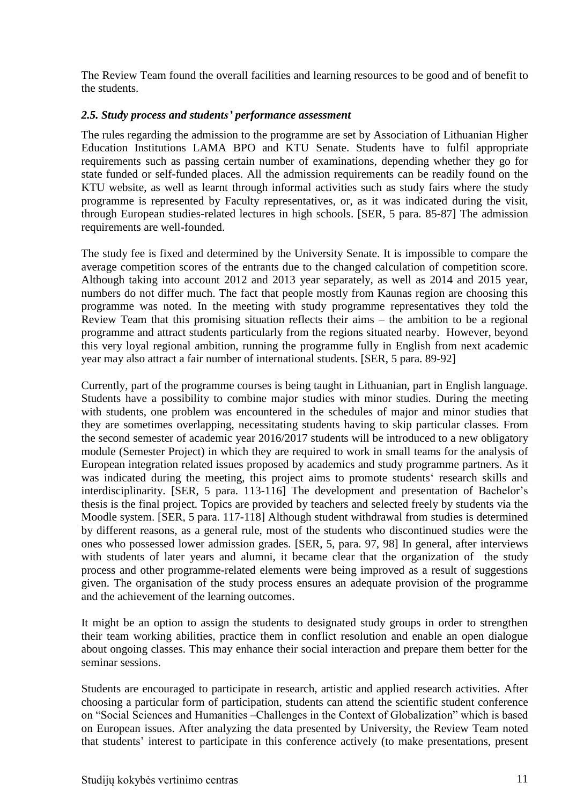The Review Team found the overall facilities and learning resources to be good and of benefit to the students.

## <span id="page-10-0"></span>*2.5. Study process and students' performance assessment*

The rules regarding the admission to the programme are set by Association of Lithuanian Higher Education Institutions LAMA BPO and KTU Senate. Students have to fulfil appropriate requirements such as passing certain number of examinations, depending whether they go for state funded or self-funded places. All the admission requirements can be readily found on the KTU website, as well as learnt through informal activities such as study fairs where the study programme is represented by Faculty representatives, or, as it was indicated during the visit, through European studies-related lectures in high schools. [SER, 5 para. 85-87] The admission requirements are well-founded.

The study fee is fixed and determined by the University Senate. It is impossible to compare the average competition scores of the entrants due to the changed calculation of competition score. Although taking into account 2012 and 2013 year separately, as well as 2014 and 2015 year, numbers do not differ much. The fact that people mostly from Kaunas region are choosing this programme was noted. In the meeting with study programme representatives they told the Review Team that this promising situation reflects their aims – the ambition to be a regional programme and attract students particularly from the regions situated nearby. However, beyond this very loyal regional ambition, running the programme fully in English from next academic year may also attract a fair number of international students. [SER, 5 para. 89-92]

Currently, part of the programme courses is being taught in Lithuanian, part in English language. Students have a possibility to combine major studies with minor studies. During the meeting with students, one problem was encountered in the schedules of major and minor studies that they are sometimes overlapping, necessitating students having to skip particular classes. From the second semester of academic year 2016/2017 students will be introduced to a new obligatory module (Semester Project) in which they are required to work in small teams for the analysis of European integration related issues proposed by academics and study programme partners. As it was indicated during the meeting, this project aims to promote students' research skills and interdisciplinarity. [SER, 5 para. 113-116] The development and presentation of Bachelor's thesis is the final project. Topics are provided by teachers and selected freely by students via the Moodle system. [SER, 5 para. 117-118] Although student withdrawal from studies is determined by different reasons, as a general rule, most of the students who discontinued studies were the ones who possessed lower admission grades. [SER, 5, para. 97, 98] In general, after interviews with students of later years and alumni, it became clear that the organization of the study process and other programme-related elements were being improved as a result of suggestions given. The organisation of the study process ensures an adequate provision of the programme and the achievement of the learning outcomes.

It might be an option to assign the students to designated study groups in order to strengthen their team working abilities, practice them in conflict resolution and enable an open dialogue about ongoing classes. This may enhance their social interaction and prepare them better for the seminar sessions.

Students are encouraged to participate in research, artistic and applied research activities. After choosing a particular form of participation, students can attend the scientific student conference on "Social Sciences and Humanities –Challenges in the Context of Globalization" which is based on European issues. After analyzing the data presented by University, the Review Team noted that students' interest to participate in this conference actively (to make presentations, present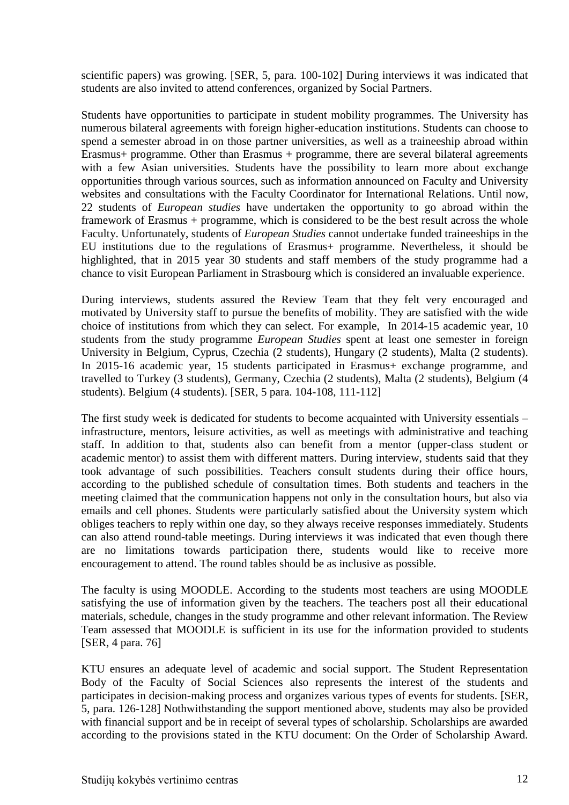scientific papers) was growing. [SER, 5, para. 100-102] During interviews it was indicated that students are also invited to attend conferences, organized by Social Partners.

Students have opportunities to participate in student mobility programmes. The University has numerous bilateral agreements with foreign higher-education institutions. Students can choose to spend a semester abroad in on those partner universities, as well as a traineeship abroad within Erasmus+ programme. Other than Erasmus + programme, there are several bilateral agreements with a few Asian universities. Students have the possibility to learn more about exchange opportunities through various sources, such as information announced on Faculty and University websites and consultations with the Faculty Coordinator for International Relations. Until now, 22 students of *European studies* have undertaken the opportunity to go abroad within the framework of Erasmus + programme, which is considered to be the best result across the whole Faculty. Unfortunately, students of *European Studies* cannot undertake funded traineeships in the EU institutions due to the regulations of Erasmus+ programme. Nevertheless, it should be highlighted, that in 2015 year 30 students and staff members of the study programme had a chance to visit European Parliament in Strasbourg which is considered an invaluable experience.

During interviews, students assured the Review Team that they felt very encouraged and motivated by University staff to pursue the benefits of mobility. They are satisfied with the wide choice of institutions from which they can select. For example, In 2014-15 academic year, 10 students from the study programme *European Studies* spent at least one semester in foreign University in Belgium, Cyprus, Czechia (2 students), Hungary (2 students), Malta (2 students). In 2015-16 academic year, 15 students participated in Erasmus+ exchange programme, and travelled to Turkey (3 students), Germany, Czechia (2 students), Malta (2 students), Belgium (4 students). Belgium (4 students). [SER, 5 para. 104-108, 111-112]

The first study week is dedicated for students to become acquainted with University essentials – infrastructure, mentors, leisure activities, as well as meetings with administrative and teaching staff. In addition to that, students also can benefit from a mentor (upper-class student or academic mentor) to assist them with different matters. During interview, students said that they took advantage of such possibilities. Teachers consult students during their office hours, according to the published schedule of consultation times. Both students and teachers in the meeting claimed that the communication happens not only in the consultation hours, but also via emails and cell phones. Students were particularly satisfied about the University system which obliges teachers to reply within one day, so they always receive responses immediately. Students can also attend round-table meetings. During interviews it was indicated that even though there are no limitations towards participation there, students would like to receive more encouragement to attend. The round tables should be as inclusive as possible.

The faculty is using MOODLE. According to the students most teachers are using MOODLE satisfying the use of information given by the teachers. The teachers post all their educational materials, schedule, changes in the study programme and other relevant information. The Review Team assessed that MOODLE is sufficient in its use for the information provided to students [SER, 4 para. 76]

KTU ensures an adequate level of academic and social support. The Student Representation Body of the Faculty of Social Sciences also represents the interest of the students and participates in decision-making process and organizes various types of events for students. [SER, 5, para. 126-128] Nothwithstanding the support mentioned above, students may also be provided with financial support and be in receipt of several types of scholarship. Scholarships are awarded according to the provisions stated in the KTU document: On the Order of Scholarship Award.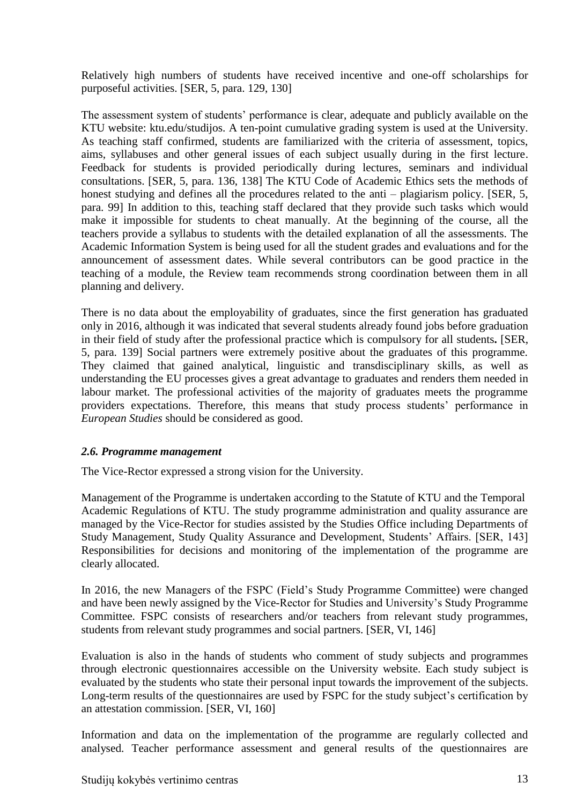Relatively high numbers of students have received incentive and one-off scholarships for purposeful activities. [SER, 5, para. 129, 130]

The assessment system of students' performance is clear, adequate and publicly available on the KTU website: ktu.edu/studijos. A ten-point cumulative grading system is used at the University. As teaching staff confirmed, students are familiarized with the criteria of assessment, topics, aims, syllabuses and other general issues of each subject usually during in the first lecture. Feedback for students is provided periodically during lectures, seminars and individual consultations. [SER, 5, para. 136, 138] The KTU Code of Academic Ethics sets the methods of honest studying and defines all the procedures related to the anti – plagiarism policy. [SER, 5, para. 99] In addition to this, teaching staff declared that they provide such tasks which would make it impossible for students to cheat manually. At the beginning of the course, all the teachers provide a syllabus to students with the detailed explanation of all the assessments. The Academic Information System is being used for all the student grades and evaluations and for the announcement of assessment dates. While several contributors can be good practice in the teaching of a module, the Review team recommends strong coordination between them in all planning and delivery.

<span id="page-12-0"></span>There is no data about the employability of graduates, since the first generation has graduated only in 2016, although it was indicated that several students already found jobs before graduation in their field of study after the professional practice which is compulsory for all students**.** [SER, 5, para. 139] Social partners were extremely positive about the graduates of this programme. They claimed that gained analytical, linguistic and transdisciplinary skills, as well as understanding the EU processes gives a great advantage to graduates and renders them needed in labour market. The professional activities of the majority of graduates meets the programme providers expectations. Therefore, this means that study process students' performance in *European Studies* should be considered as good.

## *2.6. Programme management*

The Vice-Rector expressed a strong vision for the University.

Management of the Programme is undertaken according to the Statute of KTU and the Temporal Academic Regulations of KTU. The study programme administration and quality assurance are managed by the Vice-Rector for studies assisted by the Studies Office including Departments of Study Management, Study Quality Assurance and Development, Students' Affairs. [SER, 143] Responsibilities for decisions and monitoring of the implementation of the programme are clearly allocated.

In 2016, the new Managers of the FSPC (Field's Study Programme Committee) were changed and have been newly assigned by the Vice-Rector for Studies and University's Study Programme Committee. FSPC consists of researchers and/or teachers from relevant study programmes, students from relevant study programmes and social partners. [SER, VI, 146]

Evaluation is also in the hands of students who comment of study subjects and programmes through electronic questionnaires accessible on the University website. Each study subject is evaluated by the students who state their personal input towards the improvement of the subjects. Long-term results of the questionnaires are used by FSPC for the study subject's certification by an attestation commission. [SER, VI, 160]

Information and data on the implementation of the programme are regularly collected and analysed. Teacher performance assessment and general results of the questionnaires are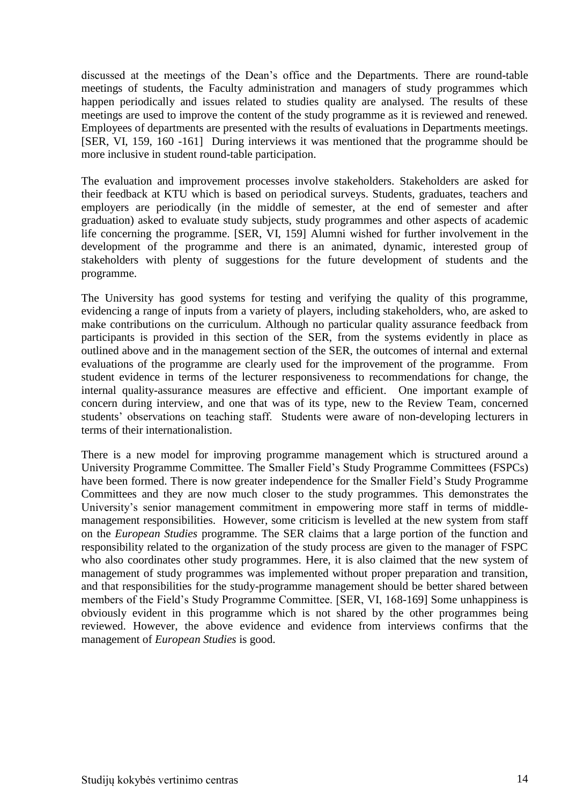discussed at the meetings of the Dean's office and the Departments. There are round-table meetings of students, the Faculty administration and managers of study programmes which happen periodically and issues related to studies quality are analysed. The results of these meetings are used to improve the content of the study programme as it is reviewed and renewed. Employees of departments are presented with the results of evaluations in Departments meetings. [SER, VI, 159, 160 -161] During interviews it was mentioned that the programme should be more inclusive in student round-table participation.

The evaluation and improvement processes involve stakeholders. Stakeholders are asked for their feedback at KTU which is based on periodical surveys. Students, graduates, teachers and employers are periodically (in the middle of semester, at the end of semester and after graduation) asked to evaluate study subjects, study programmes and other aspects of academic life concerning the programme. [SER, VI, 159] Alumni wished for further involvement in the development of the programme and there is an animated, dynamic, interested group of stakeholders with plenty of suggestions for the future development of students and the programme.

The University has good systems for testing and verifying the quality of this programme, evidencing a range of inputs from a variety of players, including stakeholders, who, are asked to make contributions on the curriculum. Although no particular quality assurance feedback from participants is provided in this section of the SER, from the systems evidently in place as outlined above and in the management section of the SER, the outcomes of internal and external evaluations of the programme are clearly used for the improvement of the programme. From student evidence in terms of the lecturer responsiveness to recommendations for change, the internal quality-assurance measures are effective and efficient. One important example of concern during interview, and one that was of its type, new to the Review Team, concerned students' observations on teaching staff. Students were aware of non-developing lecturers in terms of their internationalistion.

<span id="page-13-0"></span>There is a new model for improving programme management which is structured around a University Programme Committee. The Smaller Field's Study Programme Committees (FSPCs) have been formed. There is now greater independence for the Smaller Field's Study Programme Committees and they are now much closer to the study programmes. This demonstrates the University's senior management commitment in empowering more staff in terms of middlemanagement responsibilities. However, some criticism is levelled at the new system from staff on the *European Studies* programme. The SER claims that a large portion of the function and responsibility related to the organization of the study process are given to the manager of FSPC who also coordinates other study programmes. Here, it is also claimed that the new system of management of study programmes was implemented without proper preparation and transition, and that responsibilities for the study-programme management should be better shared between members of the Field's Study Programme Committee. [SER, VI, 168-169] Some unhappiness is obviously evident in this programme which is not shared by the other programmes being reviewed. However, the above evidence and evidence from interviews confirms that the management of *European Studies* is good.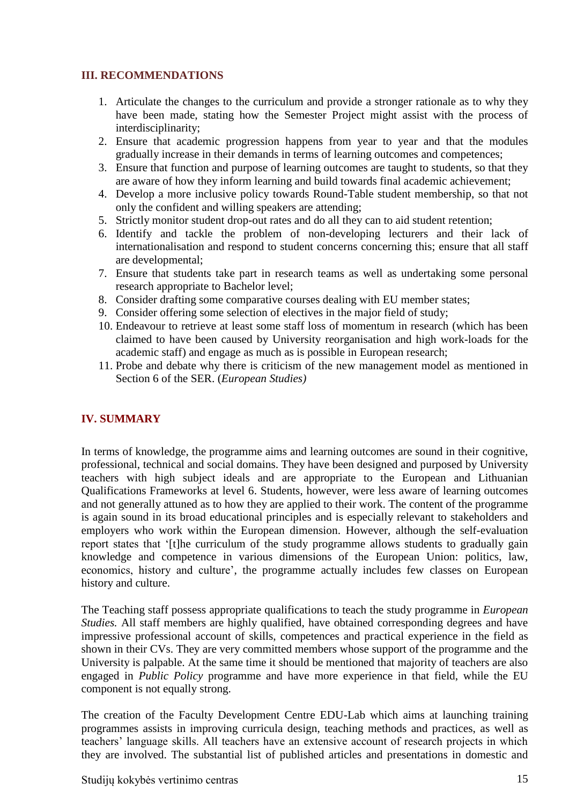## **III. RECOMMENDATIONS**

- 1. Articulate the changes to the curriculum and provide a stronger rationale as to why they have been made, stating how the Semester Project might assist with the process of interdisciplinarity;
- 2. Ensure that academic progression happens from year to year and that the modules gradually increase in their demands in terms of learning outcomes and competences;
- 3. Ensure that function and purpose of learning outcomes are taught to students, so that they are aware of how they inform learning and build towards final academic achievement;
- 4. Develop a more inclusive policy towards Round-Table student membership, so that not only the confident and willing speakers are attending;
- 5. Strictly monitor student drop-out rates and do all they can to aid student retention;
- 6. Identify and tackle the problem of non-developing lecturers and their lack of internationalisation and respond to student concerns concerning this; ensure that all staff are developmental;
- 7. Ensure that students take part in research teams as well as undertaking some personal research appropriate to Bachelor level;
- 8. Consider drafting some comparative courses dealing with EU member states;
- 9. Consider offering some selection of electives in the major field of study;
- 10. Endeavour to retrieve at least some staff loss of momentum in research (which has been claimed to have been caused by University reorganisation and high work-loads for the academic staff) and engage as much as is possible in European research;
- 11. Probe and debate why there is criticism of the new management model as mentioned in Section 6 of the SER. (*European Studies)*

## <span id="page-14-0"></span>**IV. SUMMARY**

In terms of knowledge, the programme aims and learning outcomes are sound in their cognitive, professional, technical and social domains. They have been designed and purposed by University teachers with high subject ideals and are appropriate to the European and Lithuanian Qualifications Frameworks at level 6. Students, however, were less aware of learning outcomes and not generally attuned as to how they are applied to their work. The content of the programme is again sound in its broad educational principles and is especially relevant to stakeholders and employers who work within the European dimension. However, although the self-evaluation report states that '[t]he curriculum of the study programme allows students to gradually gain knowledge and competence in various dimensions of the European Union: politics, law, economics, history and culture', the programme actually includes few classes on European history and culture.

The Teaching staff possess appropriate qualifications to teach the study programme in *European Studies.* All staff members are highly qualified, have obtained corresponding degrees and have impressive professional account of skills, competences and practical experience in the field as shown in their CVs. They are very committed members whose support of the programme and the University is palpable. At the same time it should be mentioned that majority of teachers are also engaged in *Public Policy* programme and have more experience in that field, while the EU component is not equally strong.

The creation of the Faculty Development Centre EDU-Lab which aims at launching training programmes assists in improving curricula design, teaching methods and practices, as well as teachers' language skills. All teachers have an extensive account of research projects in which they are involved. The substantial list of published articles and presentations in domestic and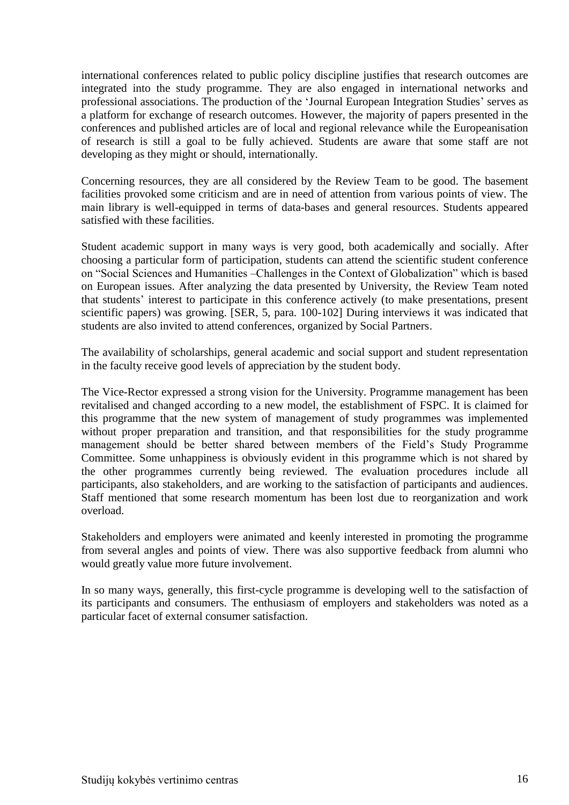international conferences related to public policy discipline justifies that research outcomes are integrated into the study programme. They are also engaged in international networks and professional associations. The production of the 'Journal European Integration Studies' serves as a platform for exchange of research outcomes. However, the majority of papers presented in the conferences and published articles are of local and regional relevance while the Europeanisation of research is still a goal to be fully achieved. Students are aware that some staff are not developing as they might or should, internationally.

Concerning resources, they are all considered by the Review Team to be good. The basement facilities provoked some criticism and are in need of attention from various points of view. The main library is well-equipped in terms of data-bases and general resources. Students appeared satisfied with these facilities.

Student academic support in many ways is very good, both academically and socially. After choosing a particular form of participation, students can attend the scientific student conference on "Social Sciences and Humanities –Challenges in the Context of Globalization" which is based on European issues. After analyzing the data presented by University, the Review Team noted that students' interest to participate in this conference actively (to make presentations, present scientific papers) was growing. [SER, 5, para. 100-102] During interviews it was indicated that students are also invited to attend conferences, organized by Social Partners.

The availability of scholarships, general academic and social support and student representation in the faculty receive good levels of appreciation by the student body.

The Vice-Rector expressed a strong vision for the University. Programme management has been revitalised and changed according to a new model, the establishment of FSPC. It is claimed for this programme that the new system of management of study programmes was implemented without proper preparation and transition, and that responsibilities for the study programme management should be better shared between members of the Field's Study Programme Committee. Some unhappiness is obviously evident in this programme which is not shared by the other programmes currently being reviewed. The evaluation procedures include all participants, also stakeholders, and are working to the satisfaction of participants and audiences. Staff mentioned that some research momentum has been lost due to reorganization and work overload.

Stakeholders and employers were animated and keenly interested in promoting the programme from several angles and points of view. There was also supportive feedback from alumni who would greatly value more future involvement.

In so many ways, generally, this first-cycle programme is developing well to the satisfaction of its participants and consumers. The enthusiasm of employers and stakeholders was noted as a particular facet of external consumer satisfaction.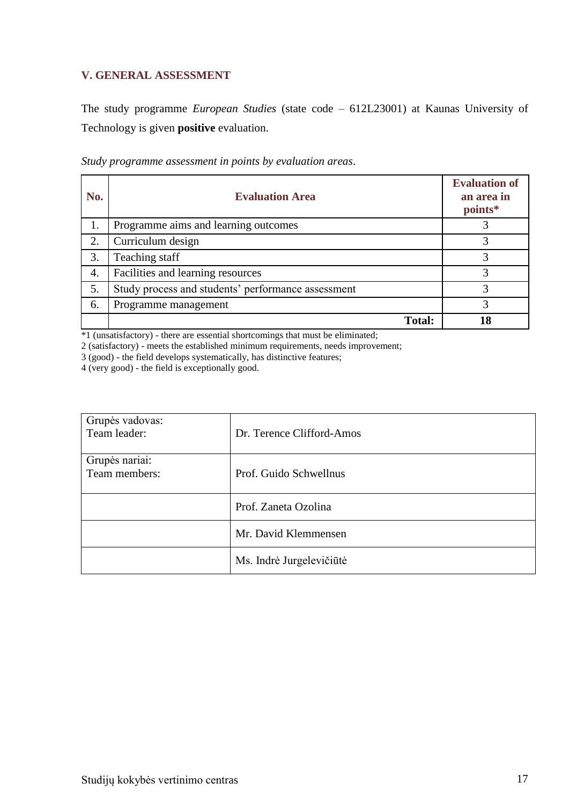## <span id="page-16-0"></span>**V. GENERAL ASSESSMENT**

The study programme *European Studies* (state code – 612L23001) at Kaunas University of Technology is given **positive** evaluation.

| No. | <b>Evaluation Area</b>                             | <b>Evaluation of</b><br>an area in<br>points* |
|-----|----------------------------------------------------|-----------------------------------------------|
| 1.  | Programme aims and learning outcomes               |                                               |
| 2.  | Curriculum design                                  |                                               |
| 3.  | Teaching staff                                     |                                               |
| 4.  | Facilities and learning resources                  | 3                                             |
| 5.  | Study process and students' performance assessment | 3                                             |
| 6.  | Programme management                               |                                               |
|     | <b>Total:</b>                                      | 18                                            |

*Study programme assessment in points by evaluation areas*.

\*1 (unsatisfactory) - there are essential shortcomings that must be eliminated;

2 (satisfactory) - meets the established minimum requirements, needs improvement;

3 (good) - the field develops systematically, has distinctive features;

4 (very good) - the field is exceptionally good.

| Grupės vadovas:<br>Team leader: | Dr. Terence Clifford-Amos |
|---------------------------------|---------------------------|
| Grupės nariai:<br>Team members: | Prof. Guido Schwellnus    |
|                                 | Prof. Zaneta Ozolina      |
|                                 | Mr. David Klemmensen      |
|                                 | Ms. Indrė Jurgelevičiūtė  |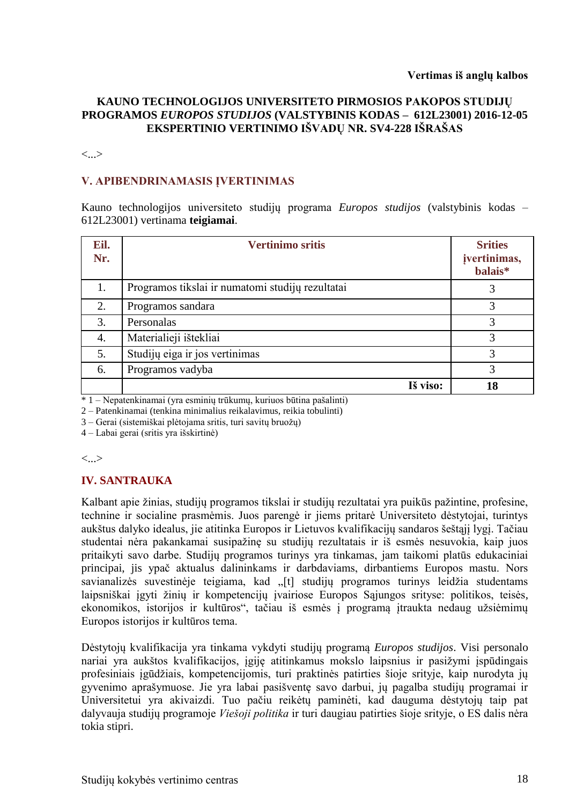#### **KAUNO TECHNOLOGIJOS UNIVERSITETO PIRMOSIOS PAKOPOS STUDIJŲ PROGRAMOS** *EUROPOS STUDIJOS* **(VALSTYBINIS KODAS – 612L23001) 2016-12-05 EKSPERTINIO VERTINIMO IŠVADŲ NR. SV4-228 IŠRAŠAS**

<...>

#### **V. APIBENDRINAMASIS ĮVERTINIMAS**

Kauno technologijos universiteto studijų programa *Europos studijos* (valstybinis kodas – 612L23001) vertinama **teigiamai**.

| Eil.<br>Nr. | <b>Vertinimo sritis</b>                          | <b>Srities</b><br>įvertinimas,<br>balais* |
|-------------|--------------------------------------------------|-------------------------------------------|
| 1.          | Programos tikslai ir numatomi studijų rezultatai | 3                                         |
| 2.          | Programos sandara                                | 3                                         |
| 3.          | Personalas                                       | 3                                         |
| 4.          | Materialieji ištekliai                           | 3                                         |
| 5.          | Studijų eiga ir jos vertinimas                   | 3                                         |
| 6.          | Programos vadyba                                 | 3                                         |
|             | Iš viso:                                         | 18                                        |

\* 1 – Nepatenkinamai (yra esminių trūkumų, kuriuos būtina pašalinti)

2 – Patenkinamai (tenkina minimalius reikalavimus, reikia tobulinti)

3 – Gerai (sistemiškai plėtojama sritis, turi savitų bruožų)

4 – Labai gerai (sritis yra išskirtinė)

<...>

#### **IV. SANTRAUKA**

Kalbant apie žinias, studijų programos tikslai ir studijų rezultatai yra puikūs pažintine, profesine, technine ir socialine prasmėmis. Juos parengė ir jiems pritarė Universiteto dėstytojai, turintys aukštus dalyko idealus, jie atitinka Europos ir Lietuvos kvalifikacijų sandaros šeštąjį lygį. Tačiau studentai nėra pakankamai susipažinę su studijų rezultatais ir iš esmės nesuvokia, kaip juos pritaikyti savo darbe. Studijų programos turinys yra tinkamas, jam taikomi platūs edukaciniai principai, jis ypač aktualus dalininkams ir darbdaviams, dirbantiems Europos mastu. Nors savianalizės suvestinėje teigiama, kad "[t] studijų programos turinys leidžia studentams laipsniškai įgyti žinių ir kompetencijų įvairiose Europos Sąjungos srityse: politikos, teisės, ekonomikos, istorijos ir kultūros", tačiau iš esmės į programą įtraukta nedaug užsiėmimų Europos istorijos ir kultūros tema.

Dėstytojų kvalifikacija yra tinkama vykdyti studijų programą *Europos studijos*. Visi personalo nariai yra aukštos kvalifikacijos, įgiję atitinkamus mokslo laipsnius ir pasižymi įspūdingais profesiniais įgūdžiais, kompetencijomis, turi praktinės patirties šioje srityje, kaip nurodyta jų gyvenimo aprašymuose. Jie yra labai pasišventę savo darbui, jų pagalba studijų programai ir Universitetui yra akivaizdi. Tuo pačiu reikėtų paminėti, kad dauguma dėstytojų taip pat dalyvauja studijų programoje *Viešoji politika* ir turi daugiau patirties šioje srityje, o ES dalis nėra tokia stipri.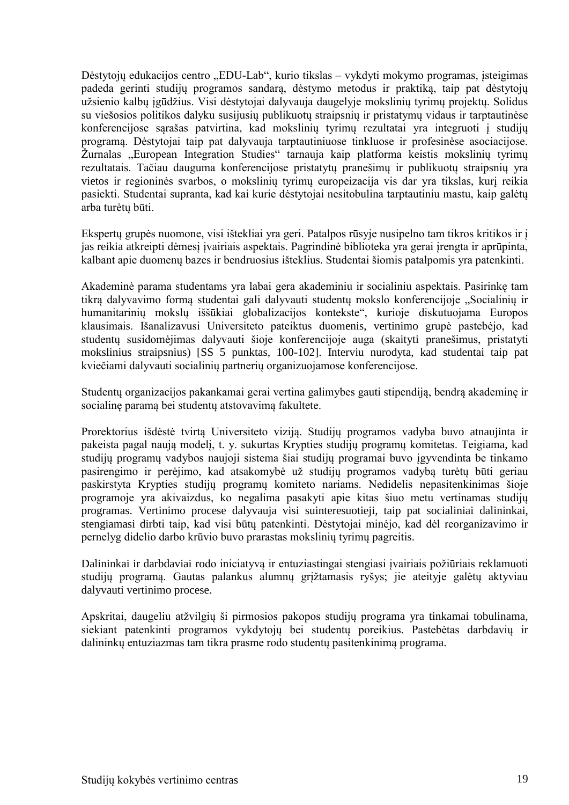Dėstytojų edukacijos centro "EDU-Lab", kurio tikslas – vykdyti mokymo programas, įsteigimas padeda gerinti studijų programos sandarą, dėstymo metodus ir praktiką, taip pat dėstytojų užsienio kalbų įgūdžius. Visi dėstytojai dalyvauja daugelyje mokslinių tyrimų projektų. Solidus su viešosios politikos dalyku susijusių publikuotų straipsnių ir pristatymų vidaus ir tarptautinėse konferencijose sąrašas patvirtina, kad mokslinių tyrimų rezultatai yra integruoti į studijų programą. Dėstytojai taip pat dalyvauja tarptautiniuose tinkluose ir profesinėse asociacijose. Žurnalas "European Integration Studies" tarnauja kaip platforma keistis mokslinių tyrimų rezultatais. Tačiau dauguma konferencijose pristatytų pranešimų ir publikuotų straipsnių yra vietos ir regioninės svarbos, o mokslinių tyrimų europeizacija vis dar yra tikslas, kurį reikia pasiekti. Studentai supranta, kad kai kurie dėstytojai nesitobulina tarptautiniu mastu, kaip galėtų arba turėtų būti.

Ekspertų grupės nuomone, visi ištekliai yra geri. Patalpos rūsyje nusipelno tam tikros kritikos ir į jas reikia atkreipti dėmesį įvairiais aspektais. Pagrindinė biblioteka yra gerai įrengta ir aprūpinta, kalbant apie duomenų bazes ir bendruosius išteklius. Studentai šiomis patalpomis yra patenkinti.

Akademinė parama studentams yra labai gera akademiniu ir socialiniu aspektais. Pasirinkę tam tikra dalyvavimo forma studentai gali dalyvauti studentų mokslo konferencijoje "Socialinių ir humanitarinių mokslų iššūkiai globalizacijos kontekste", kurioje diskutuojama Europos klausimais. Išanalizavusi Universiteto pateiktus duomenis, vertinimo grupė pastebėjo, kad studentų susidomėjimas dalyvauti šioje konferencijoje auga (skaityti pranešimus, pristatyti mokslinius straipsnius) [SS 5 punktas, 100-102]. Interviu nurodyta, kad studentai taip pat kviečiami dalyvauti socialinių partnerių organizuojamose konferencijose.

Studentų organizacijos pakankamai gerai vertina galimybes gauti stipendiją, bendrą akademinę ir socialinę paramą bei studentų atstovavimą fakultete.

Prorektorius išdėstė tvirtą Universiteto viziją. Studijų programos vadyba buvo atnaujinta ir pakeista pagal naują modelį, t. y. sukurtas Krypties studijų programų komitetas. Teigiama, kad studijų programų vadybos naujoji sistema šiai studijų programai buvo įgyvendinta be tinkamo pasirengimo ir perėjimo, kad atsakomybė už studijų programos vadybą turėtų būti geriau paskirstyta Krypties studijų programų komiteto nariams. Nedidelis nepasitenkinimas šioje programoje yra akivaizdus, ko negalima pasakyti apie kitas šiuo metu vertinamas studijų programas. Vertinimo procese dalyvauja visi suinteresuotieji, taip pat socialiniai dalininkai, stengiamasi dirbti taip, kad visi būtų patenkinti. Dėstytojai minėjo, kad dėl reorganizavimo ir pernelyg didelio darbo krūvio buvo prarastas mokslinių tyrimų pagreitis.

Dalininkai ir darbdaviai rodo iniciatyvą ir entuziastingai stengiasi įvairiais požiūriais reklamuoti studijų programą. Gautas palankus alumnų grįžtamasis ryšys; jie ateityje galėtų aktyviau dalyvauti vertinimo procese.

Apskritai, daugeliu atžvilgių ši pirmosios pakopos studijų programa yra tinkamai tobulinama, siekiant patenkinti programos vykdytojų bei studentų poreikius. Pastebėtas darbdavių ir dalininkų entuziazmas tam tikra prasme rodo studentų pasitenkinimą programa.